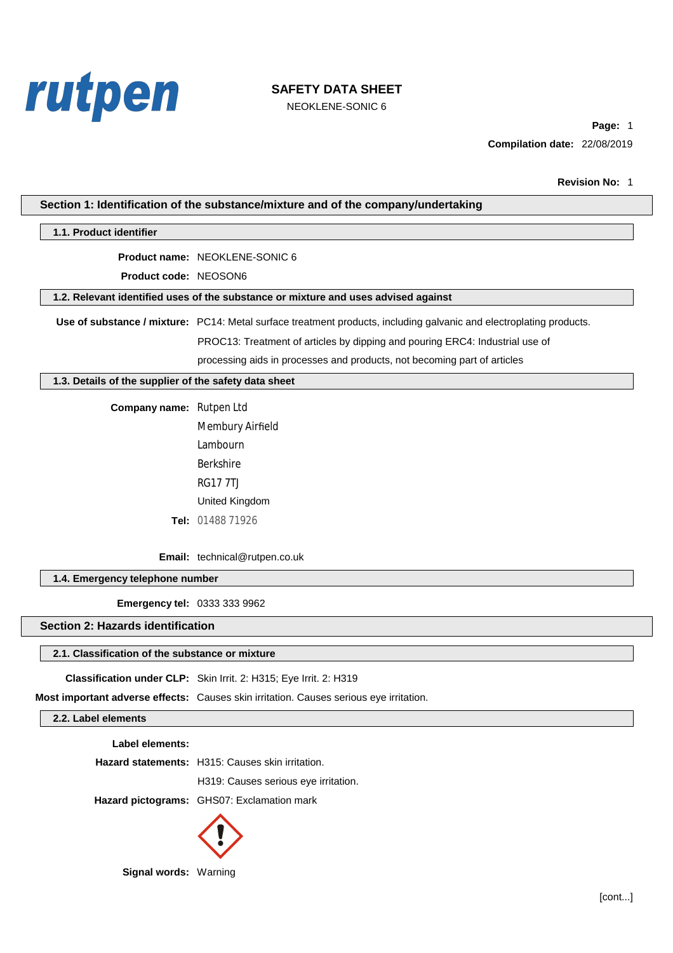

NEOKLENE-SONIC 6

Page: 1 Compilation date: 22/08/2019

|                                                       | Section 1: Identification of the substance/mixture and of the company/undertaking                                   |
|-------------------------------------------------------|---------------------------------------------------------------------------------------------------------------------|
| 1.1. Product identifier                               |                                                                                                                     |
|                                                       | Product name: NEOKLENE-SONIC 6                                                                                      |
| Product code: NEOSON6                                 |                                                                                                                     |
|                                                       | 1.2. Relevant identified uses of the substance or mixture and uses advised against                                  |
|                                                       | Use of substance / mixture: PC14: Metal surface treatment products, including galvanic and electroplating products. |
|                                                       | PROC13: Treatment of articles by dipping and pouring ERC4: Industrial use of                                        |
|                                                       | processing aids in processes and products, not becoming part of articles                                            |
| 1.3. Details of the supplier of the safety data sheet |                                                                                                                     |
| Company name: Rutpen Ltd                              |                                                                                                                     |
|                                                       | <b>Membury Airfield</b>                                                                                             |
|                                                       | <b>Lambourn</b>                                                                                                     |
|                                                       | <b>Berkshire</b>                                                                                                    |
|                                                       | <b>RG177TJ</b>                                                                                                      |
|                                                       | United Kingdom                                                                                                      |
|                                                       | Tel: 01488 71926                                                                                                    |
|                                                       | Email: technical@rutpen.co.uk                                                                                       |
| 1.4. Emergency telephone number                       |                                                                                                                     |
| <b>Emergency tel: 0333 333 9962</b>                   |                                                                                                                     |
| <b>Section 2: Hazards identification</b>              |                                                                                                                     |
| 2.1. Classification of the substance or mixture       |                                                                                                                     |
|                                                       | Classification under CLP: Skin Irrit. 2: H315; Eye Irrit. 2: H319                                                   |
|                                                       | Most important adverse effects: Causes skin irritation. Causes serious eye irritation.                              |
| 2.2. Label elements                                   |                                                                                                                     |
| Label elements:                                       |                                                                                                                     |
|                                                       | Hazard statements: H315: Causes skin irritation.                                                                    |
|                                                       | H319: Causes serious eye irritation.                                                                                |
|                                                       | Hazard pictograms: GHS07: Exclamation mark                                                                          |
|                                                       |                                                                                                                     |



Signal words: Warning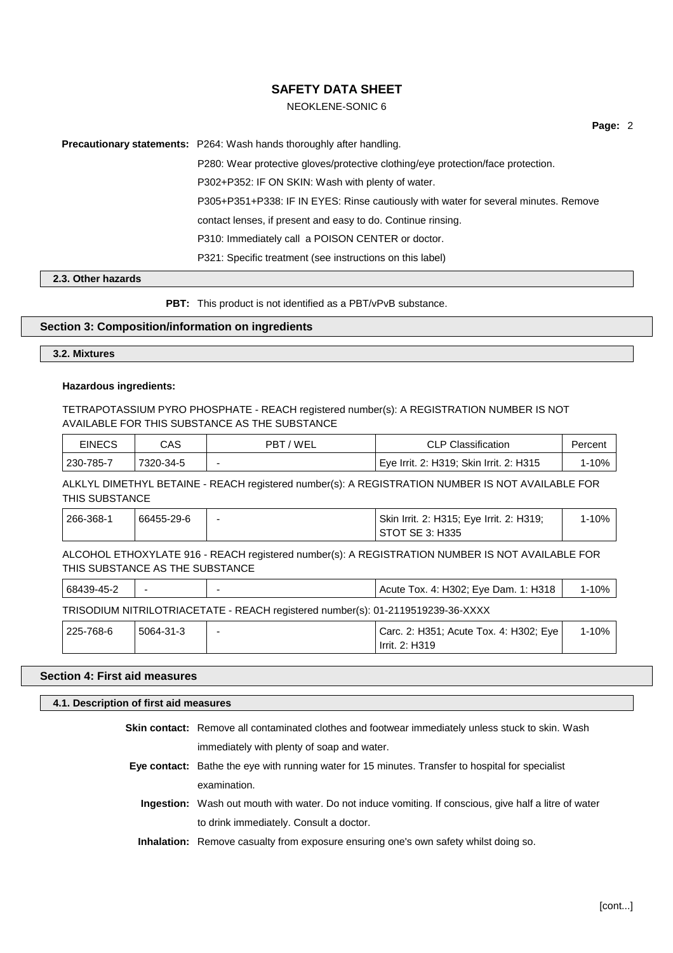# NEOKLENE-SONIC 6

Page: 2

**Precautionary statements:** P264: Wash hands thoroughly after handling.

P280: Wear protective gloves/protective clothing/eye protection/face protection.

P302+P352: IF ON SKIN: Wash with plenty of water.

P305+P351+P338: IF IN EYES: Rinse cautiously with water for several minutes. Remove

contact lenses, if present and easy to do. Continue rinsing.

P310: Immediately call a POISON CENTER or doctor.

P321: Specific treatment (see instructions on this label)

### 2.3. Other hazards

PBT: This product is not identified as a PBT/vPvB substance.

## Section 3: Composition/information on ingredients

3.2. Mixtures

#### **Hazardous ingredients:**

TETRAPOTASSIUM PYRO PHOSPHATE - REACH registered number(s): A REGISTRATION NUMBER IS NOT AVAILABLE FOR THIS SUBSTANCE AS THE SUBSTANCE

| EINECS    | CAS       | PBT/WEL | <b>CLP Classification</b>                            | Percent |
|-----------|-----------|---------|------------------------------------------------------|---------|
| 230-785-7 | 7320-34-5 |         | <sup>∣</sup> Eye Irrit. 2: H319; Skin Irrit. 2: H315 | 10%     |

ALKLYL DIMETHYL BETAINE - REACH registered number(s): A REGISTRATION NUMBER IS NOT AVAILABLE FOR THIS SUBSTANCE

| 266-368-1 | 66455-29-6 | $\overline{\phantom{0}}$ | Skin Irrit. 2: H315; Eye Irrit. 2: H319; | $1 - 10%$ |
|-----------|------------|--------------------------|------------------------------------------|-----------|
|           |            |                          | STOT SE 3: H335 !                        |           |

ALCOHOL ETHOXYLATE 916 - REACH registered number(s): A REGISTRATION NUMBER IS NOT AVAILABLE FOR THIS SUBSTANCE AS THE SUBSTANCE

| 68439-45-2 | -         |                                                                                 | Acute Tox. 4: H302; Eye Dam. 1: H318                     | $1 - 10%$ |
|------------|-----------|---------------------------------------------------------------------------------|----------------------------------------------------------|-----------|
|            |           | TRISODIUM NITRILOTRIACETATE - REACH registered number(s): 01-2119519239-36-XXXX |                                                          |           |
| 225-768-6  | 5064-31-3 |                                                                                 | Carc. 2: H351; Acute Tox. 4: H302; Eye<br>Irrit. 2: H319 | 1-10%     |

# **Section 4: First aid measures**

| 4.1. Description of first aid measures |                                                                                                          |  |
|----------------------------------------|----------------------------------------------------------------------------------------------------------|--|
|                                        | <b>Skin contact:</b> Remove all contaminated clothes and footwear immediately unless stuck to skin. Wash |  |
|                                        | immediately with plenty of soap and water.                                                               |  |
|                                        | <b>Eye contact:</b> Bathe the eye with running water for 15 minutes. Transfer to hospital for specialist |  |
|                                        | examination.                                                                                             |  |
|                                        | Ingestion: Wash out mouth with water. Do not induce vomiting. If conscious, give half a litre of water   |  |
|                                        | to drink immediately. Consult a doctor.                                                                  |  |
|                                        | <b>Inhalation:</b> Remove casualty from exposure ensuring one's own safety whilst doing so.              |  |
|                                        |                                                                                                          |  |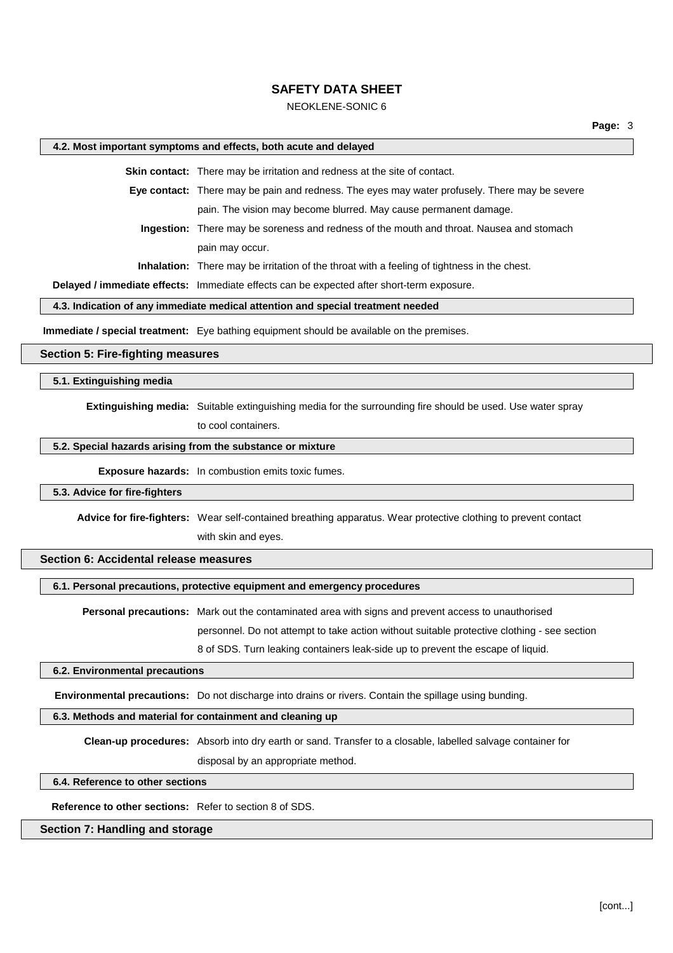# **NEOKLENE-SONIC 6**

### 4.2. Most important symptoms and effects, both acute and delayed

Skin contact: There may be irritation and redness at the site of contact.

Eye contact: There may be pain and redness. The eyes may water profusely. There may be severe pain. The vision may become blurred. May cause permanent damage.

Ingestion: There may be soreness and redness of the mouth and throat. Nausea and stomach pain may occur.

Inhalation: There may be irritation of the throat with a feeling of tightness in the chest.

Delayed / immediate effects: Immediate effects can be expected after short-term exposure.

# 4.3. Indication of any immediate medical attention and special treatment needed

Immediate / special treatment: Eve bathing equipment should be available on the premises.

### **Section 5: Fire-fighting measures**

## 5.1. Extinguishing media

**Extinguishing media:** Suitable extinguishing media for the surrounding fire should be used. Use water spray

to cool containers.

### 5.2. Special hazards arising from the substance or mixture

Exposure hazards: In combustion emits toxic fumes.

### 5.3. Advice for fire-fighters

Advice for fire-fighters: Wear self-contained breathing apparatus. Wear protective clothing to prevent contact

with skin and eyes.

## Section 6: Accidental release measures

#### 6.1. Personal precautions, protective equipment and emergency procedures

Personal precautions: Mark out the contaminated area with signs and prevent access to unauthorised personnel. Do not attempt to take action without suitable protective clothing - see section 8 of SDS. Turn leaking containers leak-side up to prevent the escape of liquid.

#### 6.2. Environmental precautions

Environmental precautions: Do not discharge into drains or rivers. Contain the spillage using bunding.

#### 6.3. Methods and material for containment and cleaning up

Clean-up procedures: Absorb into dry earth or sand. Transfer to a closable, labelled salvage container for

disposal by an appropriate method.

### 6.4. Reference to other sections

Reference to other sections: Refer to section 8 of SDS.

### Section 7: Handling and storage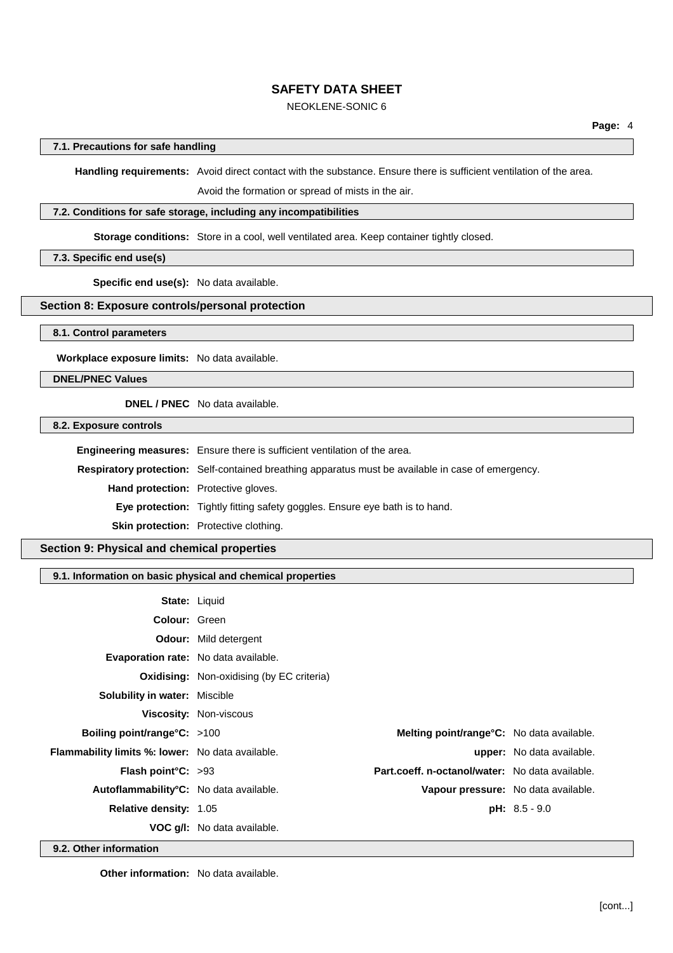# **NEOKLENE-SONIC 6**

### 7.1. Precautions for safe handling

Handling requirements: Avoid direct contact with the substance. Ensure there is sufficient ventilation of the area.

Avoid the formation or spread of mists in the air.

#### 7.2. Conditions for safe storage, including any incompatibilities

Storage conditions: Store in a cool, well ventilated area. Keep container tightly closed.

# 7.3. Specific end use(s)

Specific end use(s): No data available.

## Section 8: Exposure controls/personal protection

8.1. Control parameters

Workplace exposure limits: No data available.

**DNEL/PNEC Values** 

**DNEL / PNEC** No data available.

8.2. Exposure controls

Engineering measures: Ensure there is sufficient ventilation of the area. Respiratory protection: Self-contained breathing apparatus must be available in case of emergency. Hand protection: Protective gloves. Eye protection: Tightly fitting safety goggles. Ensure eye bath is to hand. Skin protection: Protective clothing.

Section 9: Physical and chemical properties

# 9.1. Information on basic physical and chemical properties

|                                                         | <b>State: Liquid</b>                             |                                                   |                                  |
|---------------------------------------------------------|--------------------------------------------------|---------------------------------------------------|----------------------------------|
| Colour: Green                                           |                                                  |                                                   |                                  |
|                                                         | <b>Odour:</b> Mild detergent                     |                                                   |                                  |
| <b>Evaporation rate:</b> No data available.             |                                                  |                                                   |                                  |
|                                                         | <b>Oxidising:</b> Non-oxidising (by EC criteria) |                                                   |                                  |
| <b>Solubility in water: Miscible</b>                    |                                                  |                                                   |                                  |
|                                                         | <b>Viscosity: Non-viscous</b>                    |                                                   |                                  |
| Boiling point/range $C: >100$                           |                                                  | <b>Melting point/range °C:</b> No data available. |                                  |
| <b>Flammability limits %: lower:</b> No data available. |                                                  |                                                   | <b>upper:</b> No data available. |
| <b>Flash point °C:</b> $>93$                            |                                                  | Part.coeff. n-octanol/water: No data available.   |                                  |
| Autoflammability <sup>°</sup> C: No data available.     |                                                  | Vapour pressure: No data available.               |                                  |
| <b>Relative density: 1.05</b>                           |                                                  |                                                   | $pH: 8.5 - 9.0$                  |
|                                                         | <b>VOC q/l:</b> No data available.               |                                                   |                                  |

9.2. Other information

Other information: No data available.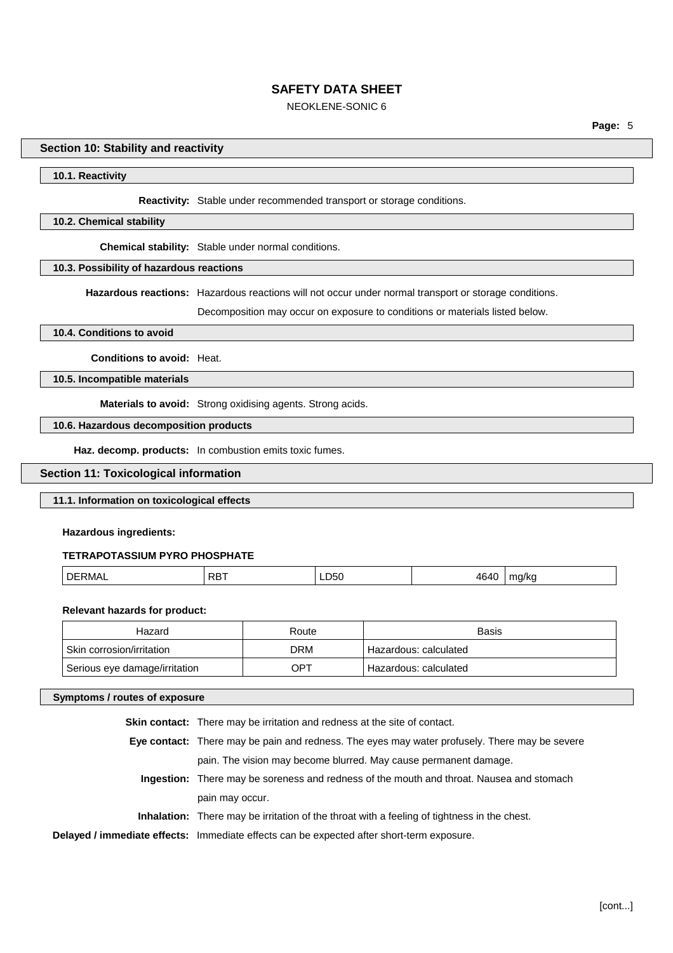# **NEOKLENE-SONIC 6**

### Section 10: Stability and reactivity

#### 10.1. Reactivity

#### Reactivity: Stable under recommended transport or storage conditions.

### 10.2. Chemical stability

Chemical stability: Stable under normal conditions.

### 10.3. Possibility of hazardous reactions

Hazardous reactions: Hazardous reactions will not occur under normal transport or storage conditions.

Decomposition may occur on exposure to conditions or materials listed below.

#### 10.4. Conditions to avoid

Conditions to avoid: Heat.

10.5. Incompatible materials

Materials to avoid: Strong oxidising agents. Strong acids.

### 10.6. Hazardous decomposition products

Haz. decomp. products: In combustion emits toxic fumes.

### **Section 11: Toxicological information**

### 11.1. Information on toxicological effects

**Hazardous ingredients:** 

# **TETRAPOTASSIUM PYRO PHOSPHATE**

| 464C<br>DR.<br><sup>1</sup> DERMAL<br>D50 ــ<br>ma/ka<br>∼<br>$ -$<br>. .<br>. . |  |
|----------------------------------------------------------------------------------|--|
|----------------------------------------------------------------------------------|--|

#### **Relevant hazards for product:**

| Hazard                        | Route | <b>Basis</b>          |
|-------------------------------|-------|-----------------------|
| Skin corrosion/irritation     | DRM   | Hazardous: calculated |
| Serious eye damage/irritation | OPT   | Hazardous: calculated |

#### Symptoms / routes of exposure

Skin contact: There may be irritation and redness at the site of contact. Eye contact: There may be pain and redness. The eyes may water profusely. There may be severe pain. The vision may become blurred. May cause permanent damage. Ingestion: There may be soreness and redness of the mouth and throat. Nausea and stomach pain may occur. Inhalation: There may be irritation of the throat with a feeling of tightness in the chest. Delayed / immediate effects: Immediate effects can be expected after short-term exposure.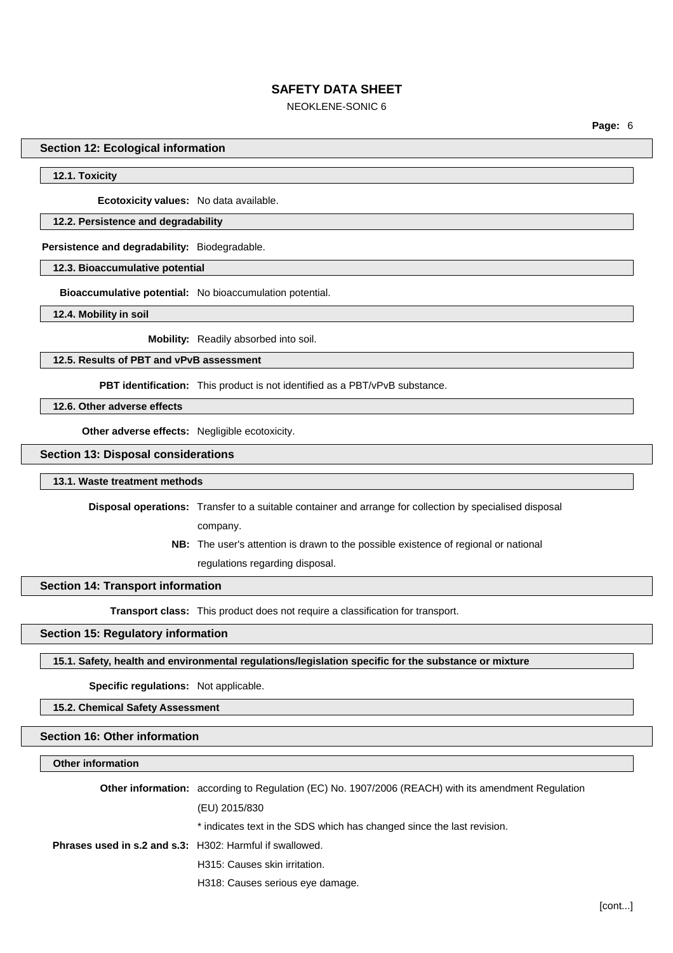# **NEOKLENE-SONIC 6**

Page: 6

#### **Section 12: Ecological information**

### 12.1. Toxicity

Ecotoxicity values: No data available.

### 12.2. Persistence and degradability

Persistence and degradability: Biodegradable.

12.3. Bioaccumulative potential

Bioaccumulative potential: No bioaccumulation potential.

12.4. Mobility in soil

Mobility: Readily absorbed into soil.

12.5. Results of PBT and vPvB assessment

**PBT identification:** This product is not identified as a PBT/vPvB substance.

12.6. Other adverse effects

Other adverse effects: Negligible ecotoxicity.

**Section 13: Disposal considerations** 

### 13.1. Waste treatment methods

Disposal operations: Transfer to a suitable container and arrange for collection by specialised disposal

company.

NB: The user's attention is drawn to the possible existence of regional or national regulations regarding disposal.

## **Section 14: Transport information**

Transport class: This product does not require a classification for transport.

#### **Section 15: Regulatory information**

15.1. Safety, health and environmental regulations/legislation specific for the substance or mixture

Specific regulations: Not applicable.

15.2. Chemical Safety Assessment

# **Section 16: Other information**

# Other information

|                                                                 | <b>Other information:</b> according to Regulation (EC) No. 1907/2006 (REACH) with its amendment Regulation |
|-----------------------------------------------------------------|------------------------------------------------------------------------------------------------------------|
|                                                                 | (EU) 2015/830                                                                                              |
|                                                                 | * indicates text in the SDS which has changed since the last revision.                                     |
| <b>Phrases used in s.2 and s.3:</b> H302: Harmful if swallowed. |                                                                                                            |
|                                                                 | H315: Causes skin irritation.                                                                              |
|                                                                 |                                                                                                            |

H318: Causes serious eye damage.